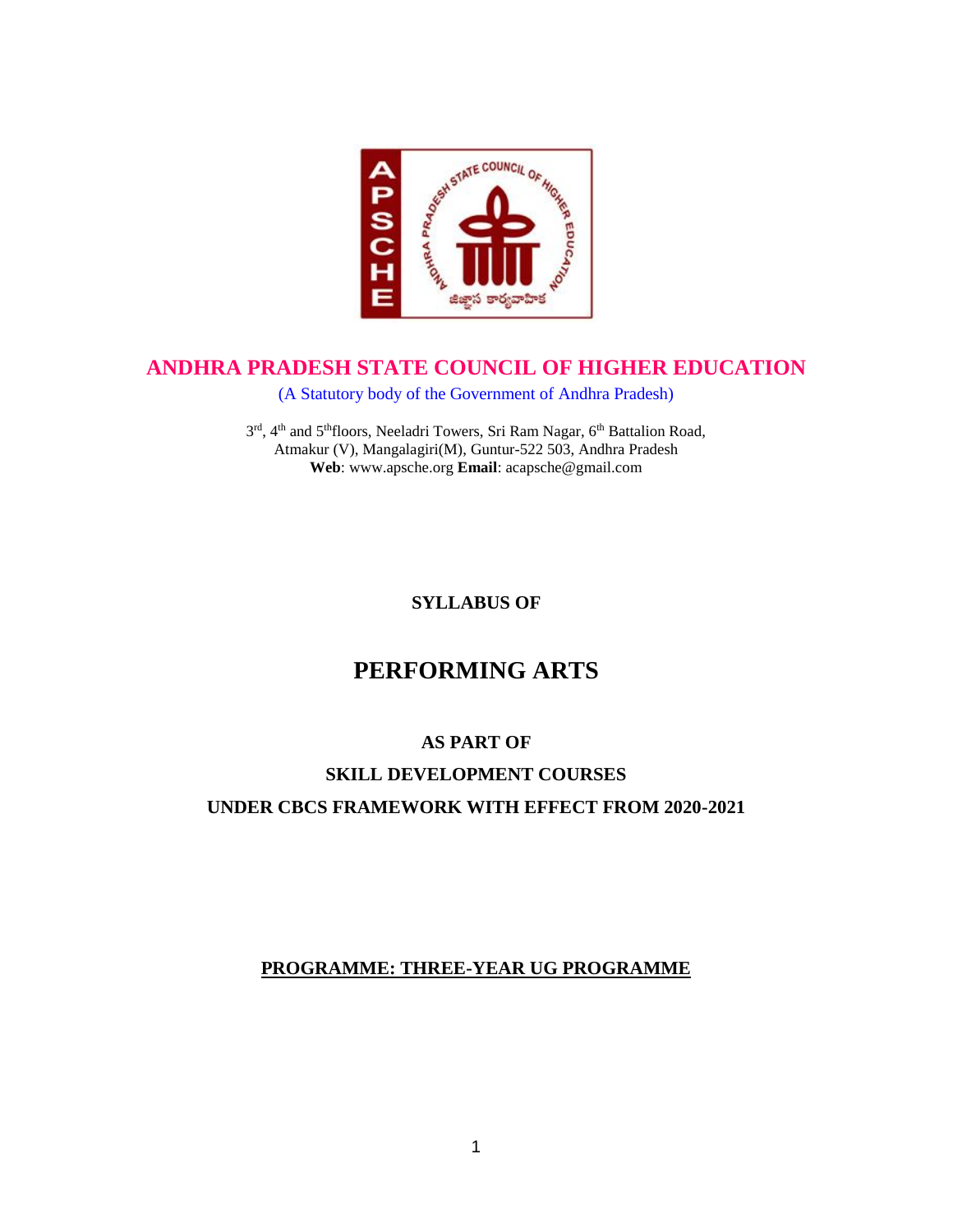

# **ANDHRA PRADESH STATE COUNCIL OF HIGHER EDUCATION**

(A Statutory body of the Government of Andhra Pradesh)

3rd, 4<sup>th</sup> and 5<sup>th</sup>floors, Neeladri Towers, Sri Ram Nagar, 6<sup>th</sup> Battalion Road, Atmakur (V), Mangalagiri(M), Guntur-522 503, Andhra Pradesh **Web**: www.apsche.org **Email**: acapsche@gmail.com

**SYLLABUS OF**

# **PERFORMING ARTS**

# **AS PART OF**

# **SKILL DEVELOPMENT COURSES UNDER CBCS FRAMEWORK WITH EFFECT FROM 2020-2021**

# **PROGRAMME: THREE-YEAR UG PROGRAMME**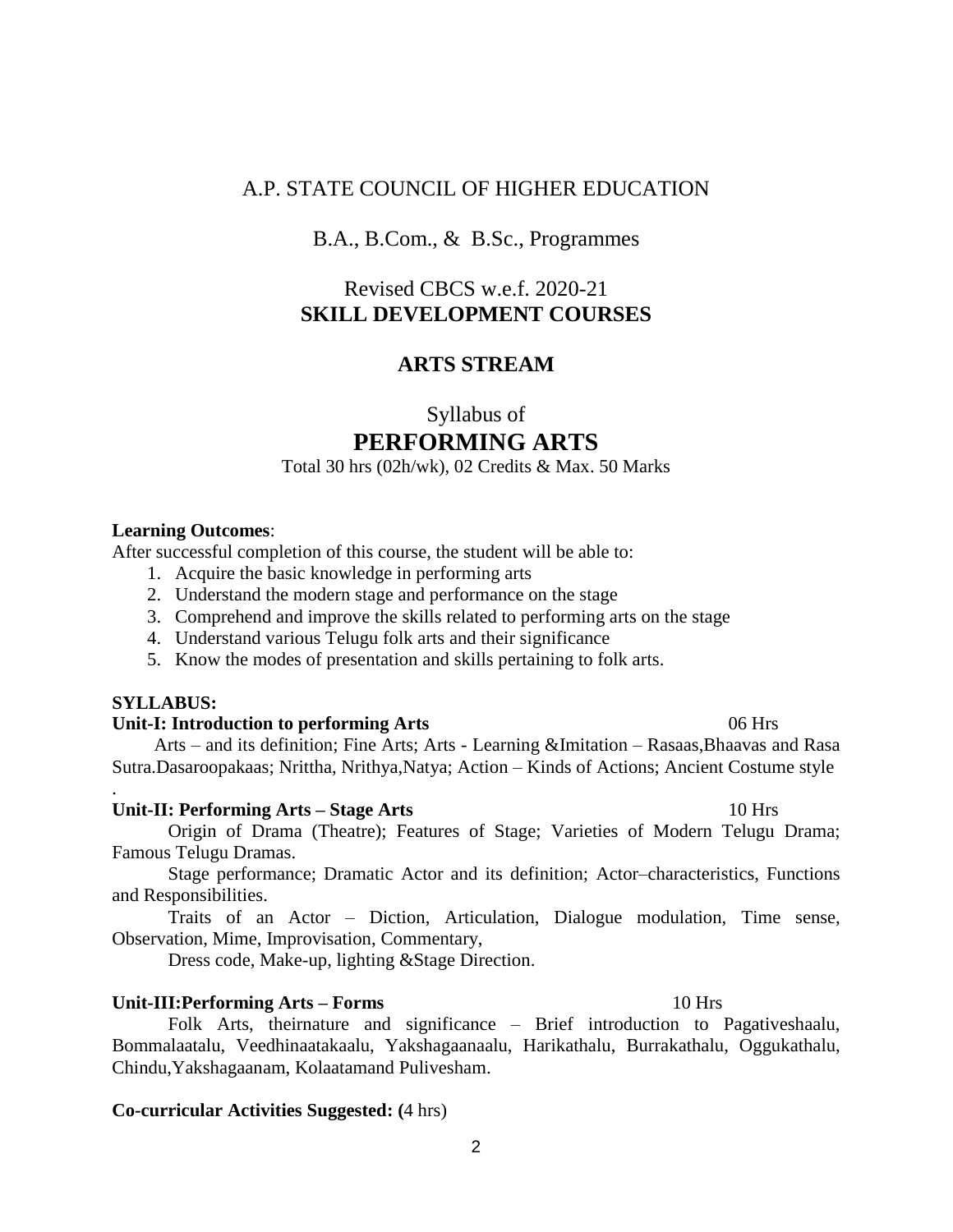# A.P. STATE COUNCIL OF HIGHER EDUCATION

# B.A., B.Com., & B.Sc., Programmes

# Revised CBCS w.e.f. 2020-21 **SKILL DEVELOPMENT COURSES**

# **ARTS STREAM**

Syllabus of

### **PERFORMING ARTS**

#### Total 30 hrs (02h/wk), 02 Credits & Max. 50 Marks

#### **Learning Outcomes**:

After successful completion of this course, the student will be able to:

- 1. Acquire the basic knowledge in performing arts
- 2. Understand the modern stage and performance on the stage
- 3. Comprehend and improve the skills related to performing arts on the stage
- 4. Understand various Telugu folk arts and their significance
- 5. Know the modes of presentation and skills pertaining to folk arts.

# **SYLLABUS:**

.

#### **Unit-I: Introduction to performing Arts** 06 Hrs

 Arts – and its definition; Fine Arts; Arts - Learning &Imitation – Rasaas,Bhaavas and Rasa Sutra.Dasaroopakaas; Nrittha, Nrithya,Natya; Action – Kinds of Actions; Ancient Costume style

#### Unit-II: Performing Arts – Stage Arts 10 Hrs

Origin of Drama (Theatre); Features of Stage; Varieties of Modern Telugu Drama; Famous Telugu Dramas.

Stage performance; Dramatic Actor and its definition; Actor–characteristics, Functions and Responsibilities.

Traits of an Actor – Diction, Articulation, Dialogue modulation, Time sense, Observation, Mime, Improvisation, Commentary,

Dress code, Make-up, lighting &Stage Direction.

#### **Unit-III:Performing Arts – Forms** 10 Hrs

Folk Arts, theirnature and significance – Brief introduction to Pagativeshaalu, Bommalaatalu, Veedhinaatakaalu, Yakshagaanaalu, Harikathalu, Burrakathalu, Oggukathalu, Chindu,Yakshagaanam, Kolaatamand Pulivesham.

2

### **Co-curricular Activities Suggested: (**4 hrs)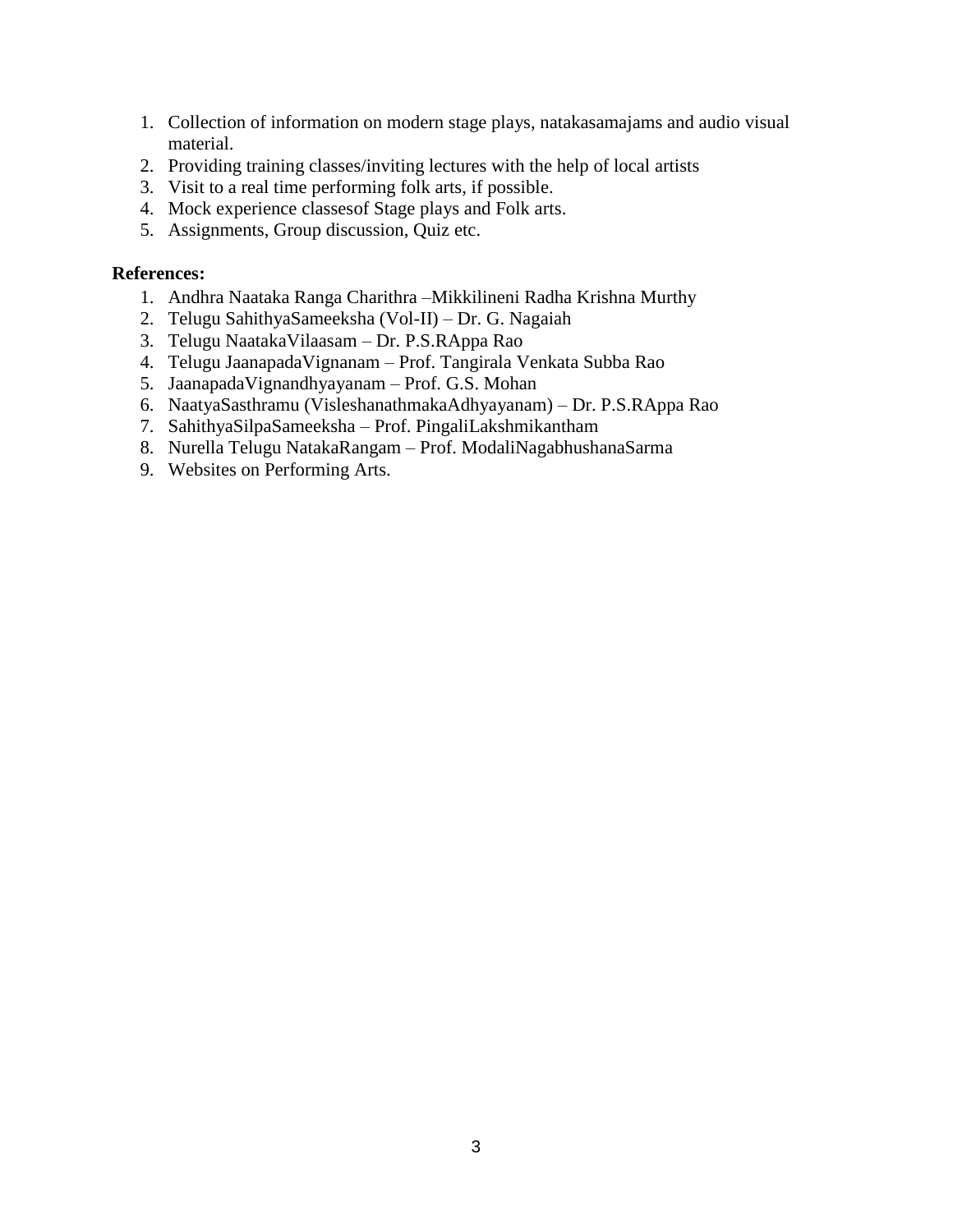- 1. Collection of information on modern stage plays, natakasamajams and audio visual material.
- 2. Providing training classes/inviting lectures with the help of local artists
- 3. Visit to a real time performing folk arts, if possible.
- 4. Mock experience classesof Stage plays and Folk arts.
- 5. Assignments, Group discussion, Quiz etc.

### **References:**

- 1. Andhra Naataka Ranga Charithra –Mikkilineni Radha Krishna Murthy
- 2. Telugu SahithyaSameeksha (Vol-II) Dr. G. Nagaiah
- 3. Telugu NaatakaVilaasam Dr. P.S.RAppa Rao
- 4. Telugu JaanapadaVignanam Prof. Tangirala Venkata Subba Rao
- 5. JaanapadaVignandhyayanam Prof. G.S. Mohan
- 6. NaatyaSasthramu (VisleshanathmakaAdhyayanam) Dr. P.S.RAppa Rao
- 7. SahithyaSilpaSameeksha Prof. PingaliLakshmikantham
- 8. Nurella Telugu NatakaRangam Prof. ModaliNagabhushanaSarma
- 9. Websites on Performing Arts.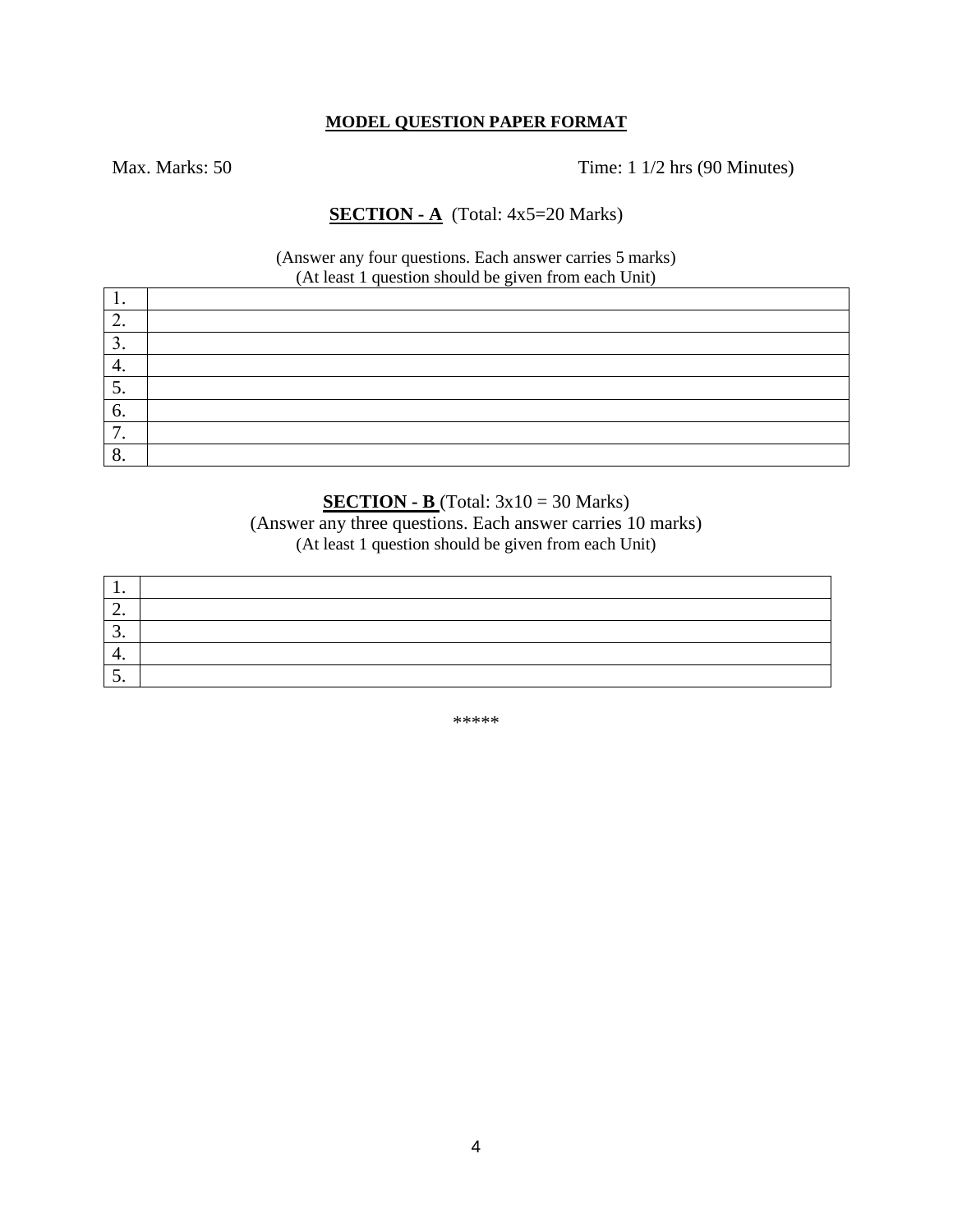#### **MODEL QUESTION PAPER FORMAT**

Max. Marks: 50 Time: 1 1/2 hrs (90 Minutes)

### **SECTION - A** (Total: 4x5=20 Marks)

(Answer any four questions. Each answer carries 5 marks) (At least 1 question should be given from each Unit)

| . .        |  |
|------------|--|
| ,.         |  |
| J.         |  |
| ┭.         |  |
| J.         |  |
| $\sigma$ . |  |
| -<br>. .   |  |
| o.         |  |

## **SECTION - B** (Total: 3x10 = 30 Marks)

(Answer any three questions. Each answer carries 10 marks) (At least 1 question should be given from each Unit)

| . .      |  |
|----------|--|
| <u>.</u> |  |
| <u>.</u> |  |
| ᅮ.       |  |
| <u>.</u> |  |

\*\*\*\*\*